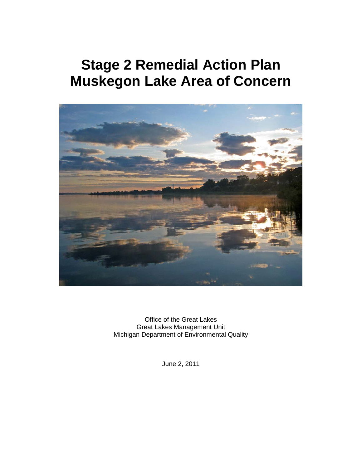# **Stage 2 Remedial Action Plan Muskegon Lake Area of Concern**



Office of the Great Lakes Great Lakes Management Unit Michigan Department of Environmental Quality

June 2, 2011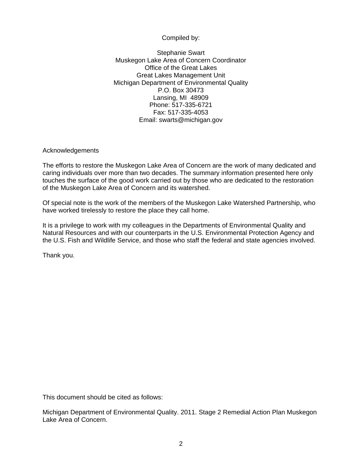### Compiled by:

Stephanie Swart Muskegon Lake Area of Concern Coordinator Office of the Great Lakes Great Lakes Management Unit Michigan Department of Environmental Quality P.O. Box 30473 Lansing, MI 48909 Phone: 517-335-6721 Fax: 517-335-4053 Email: swarts@michigan.gov

Acknowledgements

The efforts to restore the Muskegon Lake Area of Concern are the work of many dedicated and caring individuals over more than two decades. The summary information presented here only touches the surface of the good work carried out by those who are dedicated to the restoration of the Muskegon Lake Area of Concern and its watershed.

Of special note is the work of the members of the Muskegon Lake Watershed Partnership, who have worked tirelessly to restore the place they call home.

It is a privilege to work with my colleagues in the Departments of Environmental Quality and Natural Resources and with our counterparts in the U.S. Environmental Protection Agency and the U.S. Fish and Wildlife Service, and those who staff the federal and state agencies involved.

Thank you.

This document should be cited as follows:

Michigan Department of Environmental Quality. 2011. Stage 2 Remedial Action Plan Muskegon Lake Area of Concern.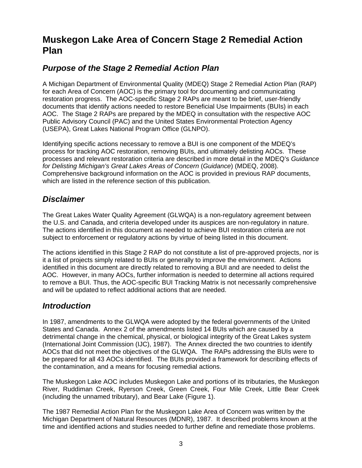### **Muskegon Lake Area of Concern Stage 2 Remedial Action Plan**

### *Purpose of the Stage 2 Remedial Action Plan*

A Michigan Department of Environmental Quality (MDEQ) Stage 2 Remedial Action Plan (RAP) for each Area of Concern (AOC) is the primary tool for documenting and communicating restoration progress. The AOC-specific Stage 2 RAPs are meant to be brief, user-friendly documents that identify actions needed to restore Beneficial Use Impairments (BUIs) in each AOC. The Stage 2 RAPs are prepared by the MDEQ in consultation with the respective AOC Public Advisory Council (PAC) and the United States Environmental Protection Agency (USEPA), Great Lakes National Program Office (GLNPO).

Identifying specific actions necessary to remove a BUI is one component of the MDEQ's process for tracking AOC restoration, removing BUIs, and ultimately delisting AOCs. These processes and relevant restoration criteria are described in more detail in the MDEQ's *Guidance for Delisting Michigan's Great Lakes Areas of Concern* (*Guidance*) (MDEQ, 2008). Comprehensive background information on the AOC is provided in previous RAP documents, which are listed in the reference section of this publication.

### *Disclaimer*

The Great Lakes Water Quality Agreement (GLWQA) is a non-regulatory agreement between the U.S. and Canada, and criteria developed under its auspices are non-regulatory in nature. The actions identified in this document as needed to achieve BUI restoration criteria are not subject to enforcement or regulatory actions by virtue of being listed in this document.

The actions identified in this Stage 2 RAP do not constitute a list of pre-approved projects, nor is it a list of projects simply related to BUIs or generally to improve the environment. Actions identified in this document are directly related to removing a BUI and are needed to delist the AOC. However, in many AOCs, further information is needed to determine all actions required to remove a BUI. Thus, the AOC-specific BUI Tracking Matrix is not necessarily comprehensive and will be updated to reflect additional actions that are needed.

### *Introduction*

In 1987, amendments to the GLWQA were adopted by the federal governments of the United States and Canada. Annex 2 of the amendments listed 14 BUIs which are caused by a detrimental change in the chemical, physical, or biological integrity of the Great Lakes system (International Joint Commission (IJC), 1987). The Annex directed the two countries to identify AOCs that did not meet the objectives of the GLWQA. The RAPs addressing the BUIs were to be prepared for all 43 AOCs identified. The BUIs provided a framework for describing effects of the contamination, and a means for focusing remedial actions.

The Muskegon Lake AOC includes Muskegon Lake and portions of its tributaries, the Muskegon River, Ruddiman Creek, Ryerson Creek, Green Creek, Four Mile Creek, Little Bear Creek (including the unnamed tributary), and Bear Lake (Figure 1).

The 1987 Remedial Action Plan for the Muskegon Lake Area of Concern was written by the Michigan Department of Natural Resources (MDNR), 1987. It described problems known at the time and identified actions and studies needed to further define and remediate those problems.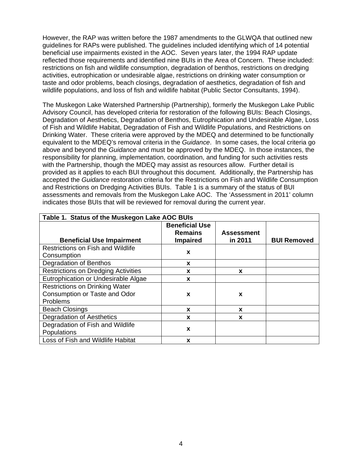However, the RAP was written before the 1987 amendments to the GLWQA that outlined new guidelines for RAPs were published. The guidelines included identifying which of 14 potential beneficial use impairments existed in the AOC. Seven years later, the 1994 RAP update reflected those requirements and identified nine BUIs in the Area of Concern. These included: restrictions on fish and wildlife consumption, degradation of benthos, restrictions on dredging activities, eutrophication or undesirable algae, restrictions on drinking water consumption or taste and odor problems, beach closings, degradation of aesthetics, degradation of fish and wildlife populations, and loss of fish and wildlife habitat (Public Sector Consultants, 1994).

The Muskegon Lake Watershed Partnership (Partnership), formerly the Muskegon Lake Public Advisory Council, has developed criteria for restoration of the following BUIs: Beach Closings, Degradation of Aesthetics, Degradation of Benthos, Eutrophication and Undesirable Algae, Loss of Fish and Wildlife Habitat, Degradation of Fish and Wildlife Populations, and Restrictions on Drinking Water. These criteria were approved by the MDEQ and determined to be functionally equivalent to the MDEQ's removal criteria in the *Guidance*. In some cases, the local criteria go above and beyond the *Guidance* and must be approved by the MDEQ. In those instances, the responsibility for planning, implementation, coordination, and funding for such activities rests with the Partnership, though the MDEQ may assist as resources allow. Further detail is provided as it applies to each BUI throughout this document. Additionally, the Partnership has accepted the *Guidance* restoration criteria for the Restrictions on Fish and Wildlife Consumption and Restrictions on Dredging Activities BUIs. Table 1 is a summary of the status of BUI assessments and removals from the Muskegon Lake AOC. The 'Assessment in 2011' column indicates those BUIs that will be reviewed for removal during the current year.

| Table 1. Status of the Muskegon Lake AOC BUIs                                      |                                                            |                              |                    |  |  |  |  |  |
|------------------------------------------------------------------------------------|------------------------------------------------------------|------------------------------|--------------------|--|--|--|--|--|
| <b>Beneficial Use Impairment</b>                                                   | <b>Beneficial Use</b><br><b>Remains</b><br><b>Impaired</b> | <b>Assessment</b><br>in 2011 | <b>BUI Removed</b> |  |  |  |  |  |
| <b>Restrictions on Fish and Wildlife</b><br>Consumption                            | X                                                          |                              |                    |  |  |  |  |  |
| <b>Degradation of Benthos</b>                                                      | X                                                          |                              |                    |  |  |  |  |  |
| <b>Restrictions on Dredging Activities</b>                                         | X                                                          | X                            |                    |  |  |  |  |  |
| Eutrophication or Undesirable Algae                                                | X                                                          |                              |                    |  |  |  |  |  |
| <b>Restrictions on Drinking Water</b><br>Consumption or Taste and Odor<br>Problems | X                                                          | X                            |                    |  |  |  |  |  |
| <b>Beach Closings</b>                                                              | X                                                          | X                            |                    |  |  |  |  |  |
| <b>Degradation of Aesthetics</b>                                                   | X                                                          | X                            |                    |  |  |  |  |  |
| Degradation of Fish and Wildlife<br>Populations                                    | X                                                          |                              |                    |  |  |  |  |  |
| Loss of Fish and Wildlife Habitat                                                  | X                                                          |                              |                    |  |  |  |  |  |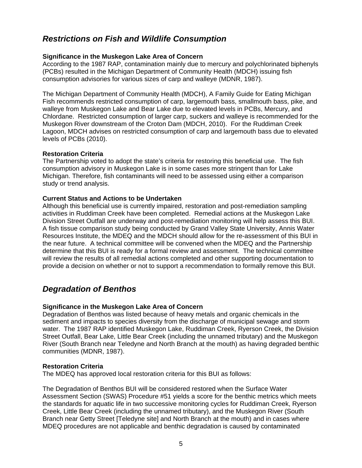### *Restrictions on Fish and Wildlife Consumption*

### **Significance in the Muskegon Lake Area of Concern**

According to the 1987 RAP, contamination mainly due to mercury and polychlorinated biphenyls (PCBs) resulted in the Michigan Department of Community Health (MDCH) issuing fish consumption advisories for various sizes of carp and walleye (MDNR, 1987).

The Michigan Department of Community Health (MDCH), A Family Guide for Eating Michigan Fish recommends restricted consumption of carp, largemouth bass, smallmouth bass, pike, and walleye from Muskegon Lake and Bear Lake due to elevated levels in PCBs, Mercury, and Chlordane. Restricted consumption of larger carp, suckers and walleye is recommended for the Muskegon River downstream of the Croton Dam (MDCH, 2010). For the Ruddiman Creek Lagoon, MDCH advises on restricted consumption of carp and largemouth bass due to elevated levels of PCBs (2010).

### **Restoration Criteria**

The Partnership voted to adopt the state's criteria for restoring this beneficial use. The fish consumption advisory in Muskegon Lake is in some cases more stringent than for Lake Michigan. Therefore, fish contaminants will need to be assessed using either a comparison study or trend analysis.

### **Current Status and Actions to be Undertaken**

Although this beneficial use is currently impaired, restoration and post-remediation sampling activities in Ruddiman Creek have been completed. Remedial actions at the Muskegon Lake Division Street Outfall are underway and post-remediation monitoring will help assess this BUI. A fish tissue comparison study being conducted by Grand Valley State University, Annis Water Resources Institute, the MDEQ and the MDCH should allow for the re-assessment of this BUI in the near future. A technical committee will be convened when the MDEQ and the Partnership determine that this BUI is ready for a formal review and assessment. The technical committee will review the results of all remedial actions completed and other supporting documentation to provide a decision on whether or not to support a recommendation to formally remove this BUI.

### *Degradation of Benthos*

### **Significance in the Muskegon Lake Area of Concern**

Degradation of Benthos was listed because of heavy metals and organic chemicals in the sediment and impacts to species diversity from the discharge of municipal sewage and storm water. The 1987 RAP identified Muskegon Lake, Ruddiman Creek, Ryerson Creek, the Division Street Outfall, Bear Lake, Little Bear Creek (including the unnamed tributary) and the Muskegon River (South Branch near Teledyne and North Branch at the mouth) as having degraded benthic communities (MDNR, 1987).

### **Restoration Criteria**

The MDEQ has approved local restoration criteria for this BUI as follows:

The Degradation of Benthos BUI will be considered restored when the Surface Water Assessment Section (SWAS) Procedure #51 yields a score for the benthic metrics which meets the standards for aquatic life in two successive monitoring cycles for Ruddiman Creek, Ryerson Creek, Little Bear Creek (including the unnamed tributary), and the Muskegon River (South Branch near Getty Street [Teledyne site] and North Branch at the mouth) and in cases where MDEQ procedures are not applicable and benthic degradation is caused by contaminated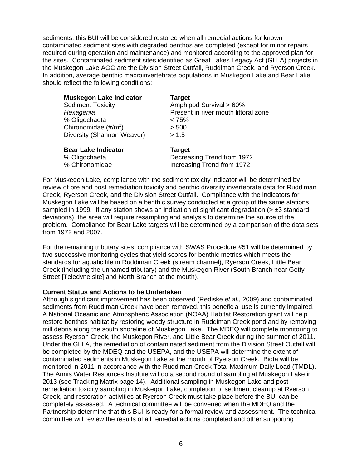sediments, this BUI will be considered restored when all remedial actions for known contaminated sediment sites with degraded benthos are completed (except for minor repairs required during operation and maintenance) and monitored according to the approved plan for the sites. Contaminated sediment sites identified as Great Lakes Legacy Act (GLLA) projects in the Muskegon Lake AOC are the Division Street Outfall, Ruddiman Creek, and Ryerson Creek. In addition, average benthic macroinvertebrate populations in Muskegon Lake and Bear Lake should reflect the following conditions:

| <b>Sediment Toxicity</b><br>Hexagenia<br>% Oligochaeta<br>Chironomidae $(\text{\#}/\text{\rm m}^2)$ | <b>Muskegon Lake Indicator</b><br>Diversity (Shannon Weaver) | <b>Target</b><br>Amphipod Survival > 60%<br>Present in river mouth littoral zone<br>$< 75\%$<br>> 500<br>> 1.5 |
|-----------------------------------------------------------------------------------------------------|--------------------------------------------------------------|----------------------------------------------------------------------------------------------------------------|
| <b>Bear Lake Indicator</b><br>% Oligochaeta<br>% Chironomidae                                       |                                                              | <b>Target</b><br>Decreasing Trend from 1972<br>Increasing Trend from 1972                                      |

For Muskegon Lake, compliance with the sediment toxicity indicator will be determined by review of pre and post remediation toxicity and benthic diversity invertebrate data for Ruddiman Creek, Ryerson Creek, and the Division Street Outfall. Compliance with the indicators for Muskegon Lake will be based on a benthic survey conducted at a group of the same stations sampled in 1999. If any station shows an indication of significant degradation ( $> \pm 3$  standard deviations), the area will require resampling and analysis to determine the source of the problem. Compliance for Bear Lake targets will be determined by a comparison of the data sets from 1972 and 2007.

For the remaining tributary sites, compliance with SWAS Procedure #51 will be determined by two successive monitoring cycles that yield scores for benthic metrics which meets the standards for aquatic life in Ruddiman Creek (stream channel), Ryerson Creek, Little Bear Creek (including the unnamed tributary) and the Muskegon River (South Branch near Getty Street [Teledyne site] and North Branch at the mouth).

#### **Current Status and Actions to be Undertaken**

Although significant improvement has been observed (Rediske *et al.*, 2009) and contaminated sediments from Ruddiman Creek have been removed, this beneficial use is currently impaired. A National Oceanic and Atmospheric Association (NOAA) Habitat Restoration grant will help restore benthos habitat by restoring woody structure in Ruddiman Creek pond and by removing mill debris along the south shoreline of Muskegon Lake. The MDEQ will complete monitoring to assess Ryerson Creek, the Muskegon River, and Little Bear Creek during the summer of 2011. Under the GLLA, the remediation of contaminated sediment from the Division Street Outfall will be completed by the MDEQ and the USEPA, and the USEPA will determine the extent of contaminated sediments in Muskegon Lake at the mouth of Ryerson Creek. Biota will be monitored in 2011 in accordance with the Ruddiman Creek Total Maximum Daily Load (TMDL). The Annis Water Resources Institute will do a second round of sampling at Muskegon Lake in 2013 (see Tracking Matrix page 14). Additional sampling in Muskegon Lake and post remediation toxicity sampling in Muskegon Lake, completion of sediment cleanup at Ryerson Creek, and restoration activities at Ryerson Creek must take place before the BUI can be completely assessed. A technical committee will be convened when the MDEQ and the Partnership determine that this BUI is ready for a formal review and assessment. The technical committee will review the results of all remedial actions completed and other supporting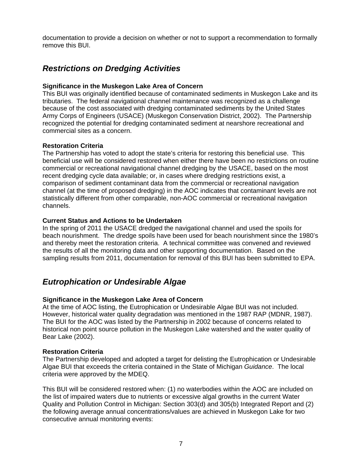documentation to provide a decision on whether or not to support a recommendation to formally remove this BUI.

### *Restrictions on Dredging Activities*

#### **Significance in the Muskegon Lake Area of Concern**

This BUI was originally identified because of contaminated sediments in Muskegon Lake and its tributaries. The federal navigational channel maintenance was recognized as a challenge because of the cost associated with dredging contaminated sediments by the United States Army Corps of Engineers (USACE) (Muskegon Conservation District, 2002). The Partnership recognized the potential for dredging contaminated sediment at nearshore recreational and commercial sites as a concern.

#### **Restoration Criteria**

The Partnership has voted to adopt the state's criteria for restoring this beneficial use. This beneficial use will be considered restored when either there have been no restrictions on routine commercial or recreational navigational channel dredging by the USACE, based on the most recent dredging cycle data available; or, in cases where dredging restrictions exist, a comparison of sediment contaminant data from the commercial or recreational navigation channel (at the time of proposed dredging) in the AOC indicates that contaminant levels are not statistically different from other comparable, non-AOC commercial or recreational navigation channels.

#### **Current Status and Actions to be Undertaken**

In the spring of 2011 the USACE dredged the navigational channel and used the spoils for beach nourishment. The dredge spoils have been used for beach nourishment since the 1980's and thereby meet the restoration criteria. A technical committee was convened and reviewed the results of all the monitoring data and other supporting documentation. Based on the sampling results from 2011, documentation for removal of this BUI has been submitted to EPA.

### *Eutrophication or Undesirable Algae*

### **Significance in the Muskegon Lake Area of Concern**

At the time of AOC listing, the Eutrophication or Undesirable Algae BUI was not included. However, historical water quality degradation was mentioned in the 1987 RAP (MDNR, 1987). The BUI for the AOC was listed by the Partnership in 2002 because of concerns related to historical non point source pollution in the Muskegon Lake watershed and the water quality of Bear Lake (2002).

#### **Restoration Criteria**

The Partnership developed and adopted a target for delisting the Eutrophication or Undesirable Algae BUI that exceeds the criteria contained in the State of Michigan *Guidance*. The local criteria were approved by the MDEQ.

This BUI will be considered restored when: (1) no waterbodies within the AOC are included on the list of impaired waters due to nutrients or excessive algal growths in the current Water Quality and Pollution Control in Michigan: Section 303(d) and 305(b) Integrated Report and (2) the following average annual concentrations/values are achieved in Muskegon Lake for two consecutive annual monitoring events: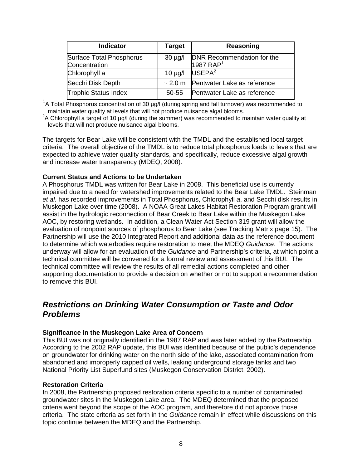| <b>Indicator</b>                          | Target       | Reasoning                                           |
|-------------------------------------------|--------------|-----------------------------------------------------|
| Surface Total Phosphorus<br>Concentration | $30 \mu g/l$ | DNR Recommendation for the<br>1987 RAP <sup>1</sup> |
| Chlorophyll a                             | $10 \mu g/l$ | USEPA <sup>2</sup>                                  |
| Secchi Disk Depth                         | ~2.0~m       | Pentwater Lake as reference                         |
| <b>Trophic Status Index</b>               | 50-55        | Pentwater Lake as reference                         |

<sup>1</sup>A Total Phosphorus concentration of 30 µg/l (during spring and fall turnover) was recommended to maintain water quality at levels that will not produce nuisance algal blooms.

<sup>2</sup>A Chlorophyll a target of 10 µg/l (during the summer) was recommended to maintain water quality at levels that will not produce nuisance algal blooms.

The targets for Bear Lake will be consistent with the TMDL and the established local target criteria. The overall objective of the TMDL is to reduce total phosphorus loads to levels that are expected to achieve water quality standards, and specifically, reduce excessive algal growth and increase water transparency (MDEQ, 2008).

#### **Current Status and Actions to be Undertaken**

A Phosphorus TMDL was written for Bear Lake in 2008. This beneficial use is currently impaired due to a need for watershed improvements related to the Bear Lake TMDL. Steinman *et al.* has recorded improvements in Total Phosphorus, Chlorophyll *a*, and Secchi disk results in Muskegon Lake over time (2008). A NOAA Great Lakes Habitat Restoration Program grant will assist in the hydrologic reconnection of Bear Creek to Bear Lake within the Muskegon Lake AOC, by restoring wetlands. In addition, a Clean Water Act Section 319 grant will allow the evaluation of nonpoint sources of phosphorus to Bear Lake (see Tracking Matrix page 15). The Partnership will use the 2010 Integrated Report and additional data as the reference document to determine which waterbodies require restoration to meet the MDEQ *Guidance*. The actions underway will allow for an evaluation of the *Guidance* and Partnership's criteria, at which point a technical committee will be convened for a formal review and assessment of this BUI. The technical committee will review the results of all remedial actions completed and other supporting documentation to provide a decision on whether or not to support a recommendation to remove this BUI.

### *Restrictions on Drinking Water Consumption or Taste and Odor Problems*

#### **Significance in the Muskegon Lake Area of Concern**

This BUI was not originally identified in the 1987 RAP and was later added by the Partnership. According to the 2002 RAP update, this BUI was identified because of the public's dependence on groundwater for drinking water on the north side of the lake, associated contamination from abandoned and improperly capped oil wells, leaking underground storage tanks and two National Priority List Superfund sites (Muskegon Conservation District, 2002).

#### **Restoration Criteria**

In 2008, the Partnership proposed restoration criteria specific to a number of contaminated groundwater sites in the Muskegon Lake area. The MDEQ determined that the proposed criteria went beyond the scope of the AOC program, and therefore did not approve those criteria. The state criteria as set forth in the *Guidance* remain in effect while discussions on this topic continue between the MDEQ and the Partnership.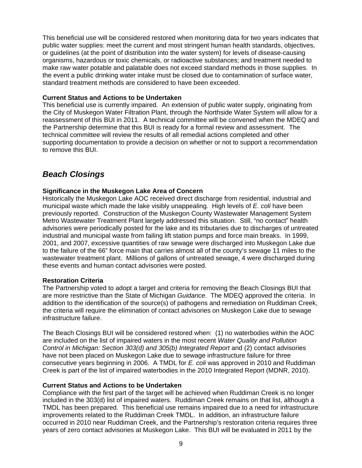This beneficial use will be considered restored when monitoring data for two years indicates that public water supplies: meet the current and most stringent human health standards, objectives, or guidelines (at the point of distribution into the water system) for levels of disease-causing organisms, hazardous or toxic chemicals, or radioactive substances; and treatment needed to make raw water potable and palatable does not exceed standard methods in those supplies. In the event a public drinking water intake must be closed due to contamination of surface water, standard treatment methods are considered to have been exceeded.

#### **Current Status and Actions to be Undertaken**

This beneficial use is currently impaired. An extension of public water supply, originating from the City of Muskegon Water Filtration Plant, through the Northside Water System will allow for a reassessment of this BUI in 2011. A technical committee will be convened when the MDEQ and the Partnership determine that this BUI is ready for a formal review and assessment. The technical committee will review the results of all remedial actions completed and other supporting documentation to provide a decision on whether or not to support a recommendation to remove this BUI.

### *Beach Closings*

#### **Significance in the Muskegon Lake Area of Concern**

Historically the Muskegon Lake AOC received direct discharge from residential, industrial and municipal waste which made the lake visibly unappealing. High levels of *E. coli* have been previously reported. Construction of the Muskegon County Wastewater Management System Metro Wastewater Treatment Plant largely addressed this situation. Still, "no contact" health advisories were periodically posted for the lake and its tributaries due to discharges of untreated industrial and municipal waste from failing lift station pumps and force main breaks. In 1999, 2001, and 2007, excessive quantities of raw sewage were discharged into Muskegon Lake due to the failure of the 66" force main that carries almost all of the county's sewage 11 miles to the wastewater treatment plant. Millions of gallons of untreated sewage, 4 were discharged during these events and human contact advisories were posted.

#### **Restoration Criteria**

The Partnership voted to adopt a target and criteria for removing the Beach Closings BUI that are more restrictive than the State of Michigan *Guidance*. The MDEQ approved the criteria. In addition to the identification of the source(s) of pathogens and remediation on Ruddiman Creek, the criteria will require the elimination of contact advisories on Muskegon Lake due to sewage infrastructure failure.

The Beach Closings BUI will be considered restored when: (1) no waterbodies within the AOC are included on the list of impaired waters in the most recent *Water Quality and Pollution Control in Michigan: Section 303(d) and 305(b) Integrated Report* and (2) contact advisories have not been placed on Muskegon Lake due to sewage infrastructure failure for three consecutive years beginning in 2006. A TMDL for *E. coli* was approved in 2010 and Ruddiman Creek is part of the list of impaired waterbodies in the 2010 Integrated Report (MDNR, 2010).

#### **Current Status and Actions to be Undertaken**

Compliance with the first part of the target will be achieved when Ruddiman Creek is no longer included in the 303(d) list of impaired waters. Ruddiman Creek remains on that list, although a TMDL has been prepared. This beneficial use remains impaired due to a need for infrastructure improvements related to the Ruddiman Creek TMDL. In addition, an infrastructure failure occurred in 2010 near Ruddiman Creek, and the Partnership's restoration criteria requires three years of zero contact advisories at Muskegon Lake. This BUI will be evaluated in 2011 by the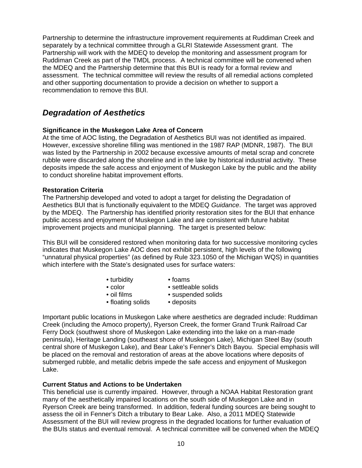Partnership to determine the infrastructure improvement requirements at Ruddiman Creek and separately by a technical committee through a GLRI Statewide Assessment grant. The Partnership will work with the MDEQ to develop the monitoring and assessment program for Ruddiman Creek as part of the TMDL process. A technical committee will be convened when the MDEQ and the Partnership determine that this BUI is ready for a formal review and assessment. The technical committee will review the results of all remedial actions completed and other supporting documentation to provide a decision on whether to support a recommendation to remove this BUI.

### *Degradation of Aesthetics*

### **Significance in the Muskegon Lake Area of Concern**

At the time of AOC listing, the Degradation of Aesthetics BUI was not identified as impaired. However, excessive shoreline filling was mentioned in the 1987 RAP (MDNR, 1987). The BUI was listed by the Partnership in 2002 because excessive amounts of metal scrap and concrete rubble were discarded along the shoreline and in the lake by historical industrial activity. These deposits impede the safe access and enjoyment of Muskegon Lake by the public and the ability to conduct shoreline habitat improvement efforts.

### **Restoration Criteria**

The Partnership developed and voted to adopt a target for delisting the Degradation of Aesthetics BUI that is functionally equivalent to the MDEQ *Guidance*. The target was approved by the MDEQ. The Partnership has identified priority restoration sites for the BUI that enhance public access and enjoyment of Muskegon Lake and are consistent with future habitat improvement projects and municipal planning. The target is presented below:

This BUI will be considered restored when monitoring data for two successive monitoring cycles indicates that Muskegon Lake AOC does not exhibit persistent, high levels of the following "unnatural physical properties" (as defined by Rule 323.1050 of the Michigan WQS) in quantities which interfere with the State's designated uses for surface waters:

- turbidity foams
	-
- 
- color settleable solids
- oil films suspended solids
- floating solids deposits
	-

Important public locations in Muskegon Lake where aesthetics are degraded include: Ruddiman Creek (including the Amoco property), Ryerson Creek, the former Grand Trunk Railroad Car Ferry Dock (southwest shore of Muskegon Lake extending into the lake on a man-made peninsula), Heritage Landing (southeast shore of Muskegon Lake), Michigan Steel Bay (south central shore of Muskegon Lake), and Bear Lake's Fenner's Ditch Bayou. Special emphasis will be placed on the removal and restoration of areas at the above locations where deposits of submerged rubble, and metallic debris impede the safe access and enjoyment of Muskegon Lake.

### **Current Status and Actions to be Undertaken**

This beneficial use is currently impaired. However, through a NOAA Habitat Restoration grant many of the aesthetically impaired locations on the south side of Muskegon Lake and in Ryerson Creek are being transformed. In addition, federal funding sources are being sought to assess the oil in Fenner's Ditch a tributary to Bear Lake. Also, a 2011 MDEQ Statewide Assessment of the BUI will review progress in the degraded locations for further evaluation of the BUIs status and eventual removal. A technical committee will be convened when the MDEQ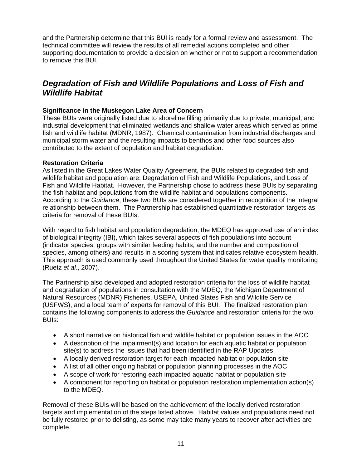and the Partnership determine that this BUI is ready for a formal review and assessment. The technical committee will review the results of all remedial actions completed and other supporting documentation to provide a decision on whether or not to support a recommendation to remove this BUI.

### *Degradation of Fish and Wildlife Populations and Loss of Fish and Wildlife Habitat*

### **Significance in the Muskegon Lake Area of Concern**

These BUIs were originally listed due to shoreline filling primarily due to private, municipal, and industrial development that eliminated wetlands and shallow water areas which served as prime fish and wildlife habitat (MDNR, 1987). Chemical contamination from industrial discharges and municipal storm water and the resulting impacts to benthos and other food sources also contributed to the extent of population and habitat degradation.

### **Restoration Criteria**

As listed in the Great Lakes Water Quality Agreement, the BUIs related to degraded fish and wildlife habitat and population are: Degradation of Fish and Wildlife Populations, and Loss of Fish and Wildlife Habitat. However, the Partnership chose to address these BUIs by separating the fish habitat and populations from the wildlife habitat and populations components. According to the *Guidance*, these two BUIs are considered together in recognition of the integral relationship between them. The Partnership has established quantitative restoration targets as criteria for removal of these BUIs.

With regard to fish habitat and population degradation, the MDEQ has approved use of an index of biological integrity (IBI), which takes several aspects of fish populations into account (indicator species, groups with similar feeding habits, and the number and composition of species, among others) and results in a scoring system that indicates relative ecosystem health. This approach is used commonly used throughout the United States for water quality monitoring (Ruetz *et al.*, 2007).

The Partnership also developed and adopted restoration criteria for the loss of wildlife habitat and degradation of populations in consultation with the MDEQ, the Michigan Department of Natural Resources (MDNR) Fisheries, USEPA, United States Fish and Wildlife Service (USFWS), and a local team of experts for removal of this BUI. The finalized restoration plan contains the following components to address the *Guidance* and restoration criteria for the two BUIs:

- A short narrative on historical fish and wildlife habitat or population issues in the AOC
- A description of the impairment(s) and location for each aquatic habitat or population site(s) to address the issues that had been identified in the RAP Updates
- A locally derived restoration target for each impacted habitat or population site
- A list of all other ongoing habitat or population planning processes in the AOC
- A scope of work for restoring each impacted aquatic habitat or population site
- A component for reporting on habitat or population restoration implementation action(s) to the MDEQ.

Removal of these BUIs will be based on the achievement of the locally derived restoration targets and implementation of the steps listed above. Habitat values and populations need not be fully restored prior to delisting, as some may take many years to recover after activities are complete.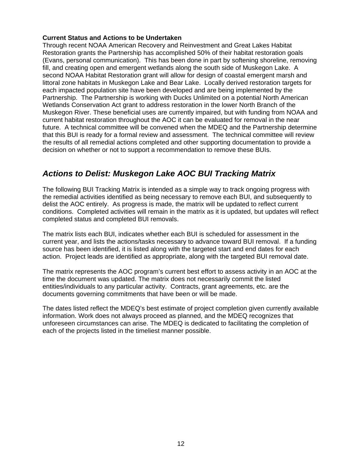### **Current Status and Actions to be Undertaken**

Through recent NOAA American Recovery and Reinvestment and Great Lakes Habitat Restoration grants the Partnership has accomplished 50% of their habitat restoration goals (Evans, personal communication). This has been done in part by softening shoreline, removing fill, and creating open and emergent wetlands along the south side of Muskegon Lake. A second NOAA Habitat Restoration grant will allow for design of coastal emergent marsh and littoral zone habitats in Muskegon Lake and Bear Lake. Locally derived restoration targets for each impacted population site have been developed and are being implemented by the Partnership. The Partnership is working with Ducks Unlimited on a potential North American Wetlands Conservation Act grant to address restoration in the lower North Branch of the Muskegon River. These beneficial uses are currently impaired, but with funding from NOAA and current habitat restoration throughout the AOC it can be evaluated for removal in the near future. A technical committee will be convened when the MDEQ and the Partnership determine that this BUI is ready for a formal review and assessment. The technical committee will review the results of all remedial actions completed and other supporting documentation to provide a decision on whether or not to support a recommendation to remove these BUIs.

### *Actions to Delist: Muskegon Lake AOC BUI Tracking Matrix*

The following BUI Tracking Matrix is intended as a simple way to track ongoing progress with the remedial activities identified as being necessary to remove each BUI, and subsequently to delist the AOC entirely. As progress is made, the matrix will be updated to reflect current conditions. Completed activities will remain in the matrix as it is updated, but updates will reflect completed status and completed BUI removals.

The matrix lists each BUI, indicates whether each BUI is scheduled for assessment in the current year, and lists the actions/tasks necessary to advance toward BUI removal. If a funding source has been identified, it is listed along with the targeted start and end dates for each action. Project leads are identified as appropriate, along with the targeted BUI removal date.

The matrix represents the AOC program's current best effort to assess activity in an AOC at the time the document was updated. The matrix does not necessarily commit the listed entities/individuals to any particular activity. Contracts, grant agreements, etc. are the documents governing commitments that have been or will be made.

The dates listed reflect the MDEQ's best estimate of project completion given currently available information. Work does not always proceed as planned, and the MDEQ recognizes that unforeseen circumstances can arise. The MDEQ is dedicated to facilitating the completion of each of the projects listed in the timeliest manner possible.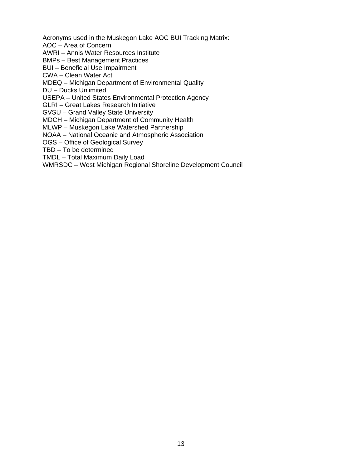Acronyms used in the Muskegon Lake AOC BUI Tracking Matrix:

AOC – Area of Concern

AWRI – Annis Water Resources Institute

BMPs – Best Management Practices

BUI – Beneficial Use Impairment

CWA – Clean Water Act

MDEQ – Michigan Department of Environmental Quality

DU – Ducks Unlimited

USEPA – United States Environmental Protection Agency

GLRI – Great Lakes Research Initiative

GVSU – Grand Valley State University

MDCH – Michigan Department of Community Health

MLWP – Muskegon Lake Watershed Partnership

NOAA – National Oceanic and Atmospheric Association

OGS – Office of Geological Survey

TBD – To be determined

TMDL – Total Maximum Daily Load

WMRSDC – West Michigan Regional Shoreline Development Council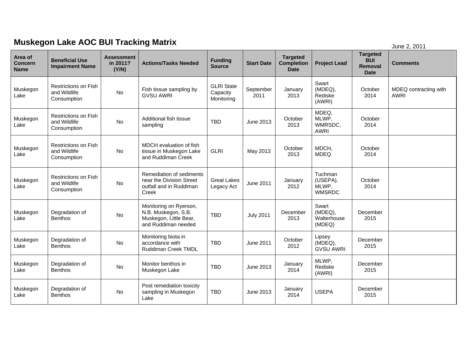## **Muskegon Lake AOC BUI Tracking Matrix** *June 2, 2011* **June 2, 2011**

| Area of<br><b>Concern</b><br><b>Name</b> | <b>Beneficial Use</b><br><b>Impairment Name</b>            | <b>Assessment</b><br>in 2011?<br>(Y/N) | <b>Actions/Tasks Needed</b>                                                                    | <b>Funding</b><br><b>Source</b>             | <b>Start Date</b> | <b>Targeted</b><br><b>Completion</b><br><b>Date</b> | <b>Project Lead</b>                           | <b>Targeted</b><br><b>BUI</b><br>Removal<br><b>Date</b> | <b>Comments</b>                      |
|------------------------------------------|------------------------------------------------------------|----------------------------------------|------------------------------------------------------------------------------------------------|---------------------------------------------|-------------------|-----------------------------------------------------|-----------------------------------------------|---------------------------------------------------------|--------------------------------------|
| Muskegon<br>Lake                         | Restrictions on Fish<br>and Wildlife<br>Consumption        | No                                     | Fish tissue sampling by<br><b>GVSU AWRI</b>                                                    | <b>GLRI</b> State<br>Capacity<br>Monitoring | September<br>2011 | January<br>2013                                     | Swart<br>(MDEQ),<br>Rediske<br>(AWRI)         | October<br>2014                                         | MDEQ contracting with<br><b>AWRI</b> |
| Muskegon<br>Lake                         | Restrictions on Fish<br>and Wildlife<br>Consumption        | No                                     | Additional fish tissue<br>sampling                                                             | <b>TBD</b>                                  | June 2013         | October<br>2013                                     | MDEQ.<br>MLWP,<br>WMRSDC,<br><b>AWRI</b>      | October<br>2014                                         |                                      |
| Muskegon<br>Lake                         | <b>Restrictions on Fish</b><br>and Wildlife<br>Consumption | No                                     | MDCH evaluation of fish<br>tissue in Muskegon Lake<br>and Ruddiman Creek                       | <b>GLRI</b>                                 | May 2013          | October<br>2013                                     | MDCH,<br><b>MDEQ</b>                          | October<br>2014                                         |                                      |
| Muskegon<br>Lake                         | <b>Restrictions on Fish</b><br>and Wildlife<br>Consumption | No                                     | Remediation of sediments<br>near the Division Street<br>outfall and in Ruddiman<br>Creek       | <b>Great Lakes</b><br>Legacy Act            | June 2011         | January<br>2012                                     | Tuchman<br>(USEPA),<br>MLWP,<br><b>WMSRDC</b> | October<br>2014                                         |                                      |
| Muskegon<br>Lake                         | Degradation of<br><b>Benthos</b>                           | No                                     | Monitoring on Ryerson,<br>N.B. Muskegon, S.B.<br>Muskegon, Little Bear,<br>and Ruddiman needed | <b>TBD</b>                                  | <b>July 2011</b>  | December<br>2013                                    | Swart<br>(MDEQ),<br>Walterhouse<br>(MDEQ)     | December<br>2015                                        |                                      |
| Muskegon<br>Lake                         | Degradation of<br><b>Benthos</b>                           | No                                     | Monitoring biota in<br>accordance with<br>Ruddiman Creek TMDL                                  | <b>TBD</b>                                  | June 2011         | October<br>2012                                     | Lipsey<br>(MDEQ),<br><b>GVSU AWRI</b>         | December<br>2015                                        |                                      |
| Muskegon<br>Lake                         | Degradation of<br><b>Benthos</b>                           | No                                     | Monitor benthos in<br>Muskegon Lake                                                            | <b>TBD</b>                                  | June 2013         | January<br>2014                                     | MLWP,<br>Rediske<br>(AWRI)                    | December<br>2015                                        |                                      |
| Muskegon<br>Lake                         | Degradation of<br><b>Benthos</b>                           | No                                     | Post remediation toxicity<br>sampling in Muskegon<br>Lake                                      | <b>TBD</b>                                  | June 2013         | January<br>2014                                     | <b>USEPA</b>                                  | December<br>2015                                        |                                      |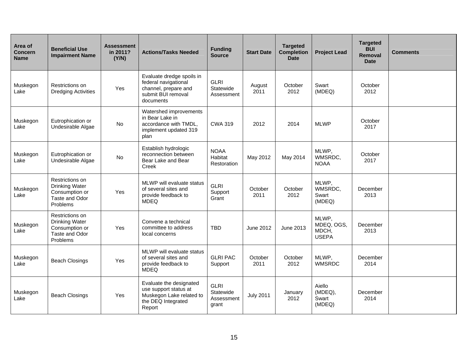| Area of<br><b>Concern</b><br><b>Name</b> | <b>Beneficial Use</b><br><b>Impairment Name</b>                                          | <b>Assessment</b><br>in 2011?<br>(Y/N) | <b>Actions/Tasks Needed</b>                                                                                  | <b>Funding</b><br><b>Source</b>                 | <b>Start Date</b> | <b>Targeted</b><br><b>Completion</b><br><b>Date</b> | <b>Project Lead</b>                          | <b>Targeted</b><br><b>BUI</b><br>Removal<br><b>Date</b> | Comments |
|------------------------------------------|------------------------------------------------------------------------------------------|----------------------------------------|--------------------------------------------------------------------------------------------------------------|-------------------------------------------------|-------------------|-----------------------------------------------------|----------------------------------------------|---------------------------------------------------------|----------|
| Muskegon<br>Lake                         | Restrictions on<br><b>Dredging Activities</b>                                            | Yes                                    | Evaluate dredge spoils in<br>federal navigational<br>channel, prepare and<br>submit BUI removal<br>documents | <b>GLRI</b><br>Statewide<br>Assessment          | August<br>2011    | October<br>2012                                     | Swart<br>(MDEQ)                              | October<br>2012                                         |          |
| Muskegon<br>Lake                         | Eutrophication or<br>Undesirable Algae                                                   | No                                     | Watershed improvements<br>in Bear Lake in<br>accordance with TMDL,<br>implement updated 319<br>plan          | <b>CWA 319</b>                                  | 2012              | 2014                                                | <b>MLWP</b>                                  | October<br>2017                                         |          |
| Muskegon<br>Lake                         | Eutrophication or<br>Undesirable Algae                                                   | No                                     | Establish hydrologic<br>reconnection between<br>Bear Lake and Bear<br>Creek                                  | <b>NOAA</b><br>Habitat<br>Restoration           | May 2012          | May 2014                                            | MLWP,<br>WMSRDC,<br><b>NOAA</b>              | October<br>2017                                         |          |
| Muskegon<br>Lake                         | Restrictions on<br><b>Drinking Water</b><br>Consumption or<br>Taste and Odor<br>Problems | Yes                                    | MLWP will evaluate status<br>of several sites and<br>provide feedback to<br><b>MDEQ</b>                      | <b>GLRI</b><br>Support<br>Grant                 | October<br>2011   | October<br>2012                                     | MLWP,<br>WMSRDC.<br>Swart<br>(MDEQ)          | December<br>2013                                        |          |
| Muskegon<br>Lake                         | Restrictions on<br><b>Drinking Water</b><br>Consumption or<br>Taste and Odor<br>Problems | Yes                                    | Convene a technical<br>committee to address<br>local concerns                                                | <b>TBD</b>                                      | June 2012         | June 2013                                           | MLWP,<br>MDEQ, OGS,<br>MDCH,<br><b>USEPA</b> | December<br>2013                                        |          |
| Muskegon<br>Lake                         | <b>Beach Closings</b>                                                                    | Yes                                    | MLWP will evaluate status<br>of several sites and<br>provide feedback to<br><b>MDEQ</b>                      | <b>GLRI PAC</b><br>Support                      | October<br>2011   | October<br>2012                                     | MLWP,<br><b>WMSRDC</b>                       | December<br>2014                                        |          |
| Muskegon<br>Lake                         | <b>Beach Closings</b>                                                                    | Yes                                    | Evaluate the designated<br>use support status at<br>Muskegon Lake related to<br>the DEQ Integrated<br>Report | <b>GLRI</b><br>Statewide<br>Assessment<br>grant | <b>July 2011</b>  | January<br>2012                                     | Aiello<br>(MDEQ),<br>Swart<br>(MDEQ)         | December<br>2014                                        |          |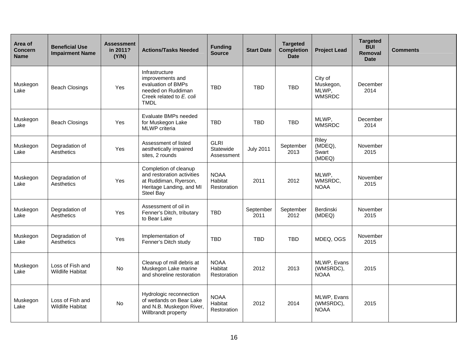| Area of<br><b>Concern</b><br><b>Name</b> | <b>Beneficial Use</b><br><b>Impairment Name</b> | <b>Assessment</b><br>in 2011?<br>(Y/N) | <b>Actions/Tasks Needed</b>                                                                                               | <b>Funding</b><br><b>Source</b>        | <b>Start Date</b> | <b>Targeted</b><br><b>Completion</b><br><b>Date</b> | <b>Project Lead</b>                            | <b>Targeted</b><br><b>BUI</b><br>Removal<br><b>Date</b> | <b>Comments</b> |
|------------------------------------------|-------------------------------------------------|----------------------------------------|---------------------------------------------------------------------------------------------------------------------------|----------------------------------------|-------------------|-----------------------------------------------------|------------------------------------------------|---------------------------------------------------------|-----------------|
| Muskegon<br>Lake                         | <b>Beach Closings</b>                           | Yes                                    | Infrastructure<br>improvements and<br>evaluation of BMPs<br>needed on Ruddiman<br>Creek related to E. coli<br><b>TMDL</b> | <b>TBD</b>                             | <b>TBD</b>        | <b>TBD</b>                                          | City of<br>Muskegon,<br>MLWP,<br><b>WMSRDC</b> | December<br>2014                                        |                 |
| Muskegon<br>Lake                         | <b>Beach Closings</b>                           | Yes                                    | Evaluate BMPs needed<br>for Muskegon Lake<br><b>MLWP</b> criteria                                                         | <b>TBD</b>                             | <b>TBD</b>        | <b>TBD</b>                                          | MLWP,<br><b>WMSRDC</b>                         | December<br>2014                                        |                 |
| Muskegon<br>Lake                         | Degradation of<br>Aesthetics                    | Yes                                    | Assessment of listed<br>aesthetically impaired<br>sites, 2 rounds                                                         | <b>GLRI</b><br>Statewide<br>Assessment | <b>July 2011</b>  | September<br>2013                                   | Riley<br>(MDEQ),<br>Swart<br>(MDEQ)            | November<br>2015                                        |                 |
| Muskegon<br>Lake                         | Degradation of<br>Aesthetics                    | Yes                                    | Completion of cleanup<br>and restoration activities<br>at Ruddiman, Ryerson,<br>Heritage Landing, and MI<br>Steel Bay     | <b>NOAA</b><br>Habitat<br>Restoration  | 2011              | 2012                                                | MLWP,<br>WMSRDC,<br><b>NOAA</b>                | November<br>2015                                        |                 |
| Muskegon<br>Lake                         | Degradation of<br>Aesthetics                    | Yes                                    | Assessment of oil in<br>Fenner's Ditch, tributary<br>to Bear Lake                                                         | <b>TBD</b>                             | September<br>2011 | September<br>2012                                   | Berdinski<br>(MDEQ)                            | November<br>2015                                        |                 |
| Muskegon<br>Lake                         | Degradation of<br>Aesthetics                    | Yes                                    | Implementation of<br>Fenner's Ditch study                                                                                 | <b>TBD</b>                             | <b>TBD</b>        | <b>TBD</b>                                          | MDEQ, OGS                                      | November<br>2015                                        |                 |
| Muskegon<br>Lake                         | Loss of Fish and<br><b>Wildlife Habitat</b>     | No                                     | Cleanup of mill debris at<br>Muskegon Lake marine<br>and shoreline restoration                                            | <b>NOAA</b><br>Habitat<br>Restoration  | 2012              | 2013                                                | MLWP, Evans<br>(WMSRDC),<br><b>NOAA</b>        | 2015                                                    |                 |
| Muskegon<br>Lake                         | Loss of Fish and<br><b>Wildlife Habitat</b>     | <b>No</b>                              | Hydrologic reconnection<br>of wetlands on Bear Lake<br>and N.B. Muskegon River,<br>Willbrandt property                    | <b>NOAA</b><br>Habitat<br>Restoration  | 2012              | 2014                                                | MLWP, Evans<br>(WMSRDC),<br><b>NOAA</b>        | 2015                                                    |                 |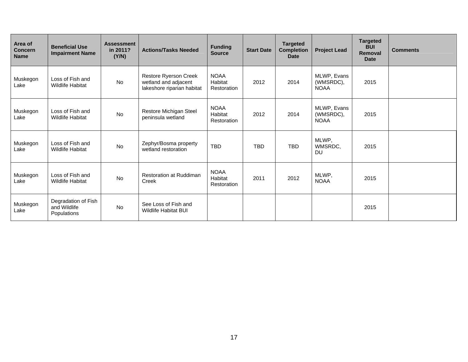| Area of<br><b>Concern</b><br><b>Name</b> | <b>Beneficial Use</b><br><b>Impairment Name</b>    | <b>Assessment</b><br>in 2011?<br>(Y/N) | <b>Actions/Tasks Needed</b>                                                 | <b>Funding</b><br><b>Source</b>       | <b>Start Date</b> | <b>Targeted</b><br><b>Completion</b><br><b>Date</b> | <b>Project Lead</b>                     | <b>Targeted</b><br><b>BUI</b><br>Removal<br><b>Date</b> | <b>Comments</b> |
|------------------------------------------|----------------------------------------------------|----------------------------------------|-----------------------------------------------------------------------------|---------------------------------------|-------------------|-----------------------------------------------------|-----------------------------------------|---------------------------------------------------------|-----------------|
| Muskegon<br>Lake                         | Loss of Fish and<br><b>Wildlife Habitat</b>        | No                                     | Restore Ryerson Creek<br>wetland and adjacent<br>lakeshore riparian habitat | <b>NOAA</b><br>Habitat<br>Restoration | 2012              | 2014                                                | MLWP, Evans<br>(WMSRDC),<br><b>NOAA</b> | 2015                                                    |                 |
| Muskegon<br>Lake                         | Loss of Fish and<br><b>Wildlife Habitat</b>        | No                                     | Restore Michigan Steel<br>peninsula wetland                                 | <b>NOAA</b><br>Habitat<br>Restoration | 2012              | 2014                                                | MLWP, Evans<br>(WMSRDC),<br><b>NOAA</b> | 2015                                                    |                 |
| Muskegon<br>Lake                         | Loss of Fish and<br><b>Wildlife Habitat</b>        | No                                     | Zephyr/Bosma property<br>wetland restoration                                | <b>TBD</b>                            | <b>TBD</b>        | <b>TBD</b>                                          | MLWP,<br>WMSRDC,<br><b>DU</b>           | 2015                                                    |                 |
| Muskegon<br>Lake                         | Loss of Fish and<br><b>Wildlife Habitat</b>        | No                                     | <b>Restoration at Ruddiman</b><br>Creek                                     | <b>NOAA</b><br>Habitat<br>Restoration | 2011              | 2012                                                | MLWP,<br><b>NOAA</b>                    | 2015                                                    |                 |
| Muskegon<br>Lake                         | Degradation of Fish<br>and Wildlife<br>Populations | <b>No</b>                              | See Loss of Fish and<br><b>Wildlife Habitat BUI</b>                         |                                       |                   |                                                     |                                         | 2015                                                    |                 |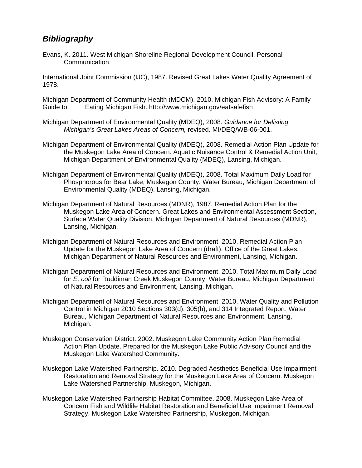### *Bibliography*

Evans, K. 2011. West Michigan Shoreline Regional Development Council. Personal Communication.

International Joint Commission (IJC), 1987. Revised Great Lakes Water Quality Agreement of 1978.

Michigan Department of Community Health (MDCM), 2010. Michigan Fish Advisory: A Family Guide to Eating Michigan Fish. http://www.michigan.gov/eatsafefish

- Michigan Department of Environmental Quality (MDEQ), 2008. *Guidance for Delisting Michigan's Great Lakes Areas of Concern,* revised. MI/DEQ/WB-06-001.
- Michigan Department of Environmental Quality (MDEQ), 2008. Remedial Action Plan Update for the Muskegon Lake Area of Concern. Aquatic Nuisance Control & Remedial Action Unit, Michigan Department of Environmental Quality (MDEQ), Lansing, Michigan.
- Michigan Department of Environmental Quality (MDEQ), 2008. Total Maximum Daily Load for Phosphorous for Bear Lake, Muskegon County. Water Bureau, Michigan Department of Environmental Quality (MDEQ), Lansing, Michigan.
- Michigan Department of Natural Resources (MDNR), 1987. Remedial Action Plan for the Muskegon Lake Area of Concern. Great Lakes and Environmental Assessment Section, Surface Water Quality Division, Michigan Department of Natural Resources (MDNR), Lansing, Michigan.
- Michigan Department of Natural Resources and Environment. 2010. Remedial Action Plan Update for the Muskegon Lake Area of Concern (draft). Office of the Great Lakes, Michigan Department of Natural Resources and Environment, Lansing, Michigan.
- Michigan Department of Natural Resources and Environment. 2010. Total Maximum Daily Load for *E. coli* for Ruddiman Creek Muskegon County. Water Bureau, Michigan Department of Natural Resources and Environment, Lansing, Michigan.
- Michigan Department of Natural Resources and Environment. 2010. Water Quality and Pollution Control in Michigan 2010 Sections 303(d), 305(b), and 314 Integrated Report. Water Bureau, Michigan Department of Natural Resources and Environment, Lansing, Michigan.
- Muskegon Conservation District. 2002. Muskegon Lake Community Action Plan Remedial Action Plan Update. Prepared for the Muskegon Lake Public Advisory Council and the Muskegon Lake Watershed Community.
- Muskegon Lake Watershed Partnership. 2010. Degraded Aesthetics Beneficial Use Impairment Restoration and Removal Strategy for the Muskegon Lake Area of Concern. Muskegon Lake Watershed Partnership, Muskegon, Michigan.
- Muskegon Lake Watershed Partnership Habitat Committee. 2008. Muskegon Lake Area of Concern Fish and Wildlife Habitat Restoration and Beneficial Use Impairment Removal Strategy. Muskegon Lake Watershed Partnership, Muskegon, Michigan.